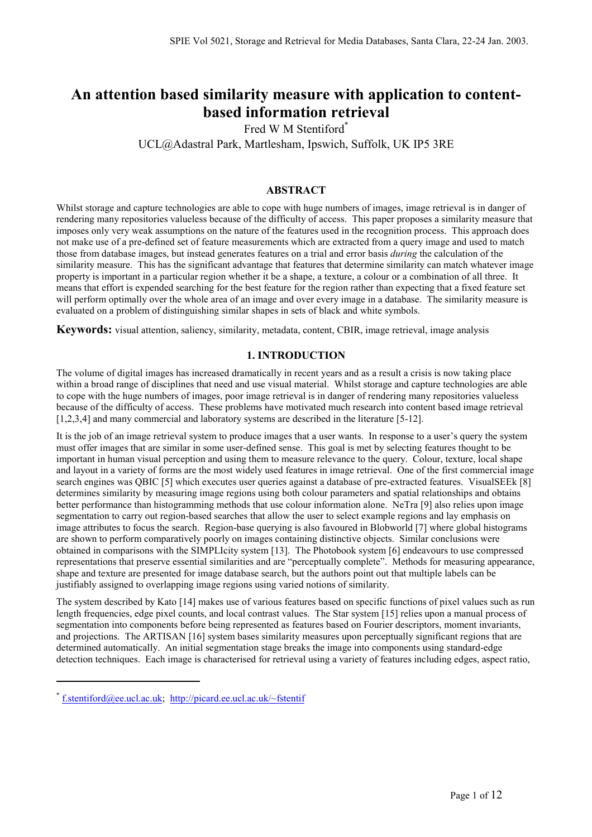# **An attention based similarity measure with application to contentbased information retrieval**

Fred W M Stentiford<sup>\*</sup>

UCL@Adastral Park, Martlesham, Ipswich, Suffolk, UK IP5 3RE

# **ABSTRACT**

Whilst storage and capture technologies are able to cope with huge numbers of images, image retrieval is in danger of rendering many repositories valueless because of the difficulty of access. This paper proposes a similarity measure that imposes only very weak assumptions on the nature of the features used in the recognition process. This approach does not make use of a pre-defined set of feature measurements which are extracted from a query image and used to match those from database images, but instead generates features on a trial and error basis *during* the calculation of the similarity measure. This has the significant advantage that features that determine similarity can match whatever image property is important in a particular region whether it be a shape, a texture, a colour or a combination of all three. It means that effort is expended searching for the best feature for the region rather than expecting that a fixed feature set will perform optimally over the whole area of an image and over every image in a database. The similarity measure is evaluated on a problem of distinguishing similar shapes in sets of black and white symbols.

**Keywords:** visual attention, saliency, similarity, metadata, content, CBIR, image retrieval, image analysis

# **1. INTRODUCTION**

The volume of digital images has increased dramatically in recent years and as a result a crisis is now taking place within a broad range of disciplines that need and use visual material. Whilst storage and capture technologies are able to cope with the huge numbers of images, poor image retrieval is in danger of rendering many repositories valueless because of the difficulty of access. These problems have motivated much research into content based image retrieval [1,2,3,4] and many commercial and laboratory systems are described in the literature [5-12].

It is the job of an image retrieval system to produce images that a user wants. In response to a user's query the system must offer images that are similar in some user-defined sense. This goal is met by selecting features thought to be important in human visual perception and using them to measure relevance to the query. Colour, texture, local shape and layout in a variety of forms are the most widely used features in image retrieval. One of the first commercial image search engines was QBIC [5] which executes user queries against a database of pre-extracted features. VisualSEEk [8] determines similarity by measuring image regions using both colour parameters and spatial relationships and obtains better performance than histogramming methods that use colour information alone. NeTra [9] also relies upon image segmentation to carry out region-based searches that allow the user to select example regions and lay emphasis on image attributes to focus the search. Region-base querying is also favoured in Blobworld [7] where global histograms are shown to perform comparatively poorly on images containing distinctive objects. Similar conclusions were obtained in comparisons with the SIMPLIcity system [13]. The Photobook system [6] endeavours to use compressed representations that preserve essential similarities and are "perceptually complete". Methods for measuring appearance, shape and texture are presented for image database search, but the authors point out that multiple labels can be justifiably assigned to overlapping image regions using varied notions of similarity.

The system described by Kato [14] makes use of various features based on specific functions of pixel values such as run length frequencies, edge pixel counts, and local contrast values. The Star system [15] relies upon a manual process of segmentation into components before being represented as features based on Fourier descriptors, moment invariants, and projections. The ARTISAN [16] system bases similarity measures upon perceptually significant regions that are determined automatically. An initial segmentation stage breaks the image into components using standard-edge detection techniques. Each image is characterised for retrieval using a variety of features including edges, aspect ratio,

 $\overline{a}$ 

<sup>\*</sup> f.stentiford@ee.ucl.ac.uk; http://picard.ee.ucl.ac.uk/~fstentif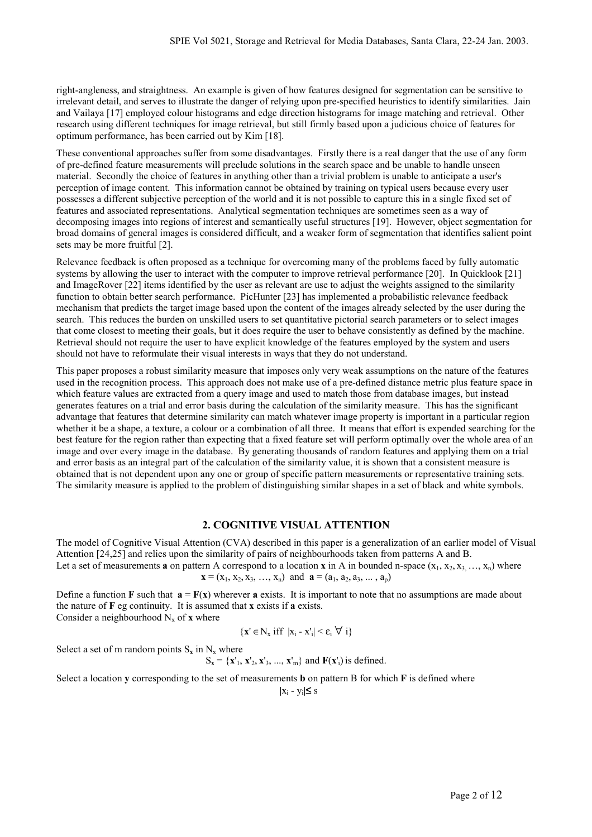right-angleness, and straightness. An example is given of how features designed for segmentation can be sensitive to irrelevant detail, and serves to illustrate the danger of relying upon pre-specified heuristics to identify similarities. Jain and Vailaya [17] employed colour histograms and edge direction histograms for image matching and retrieval. Other research using different techniques for image retrieval, but still firmly based upon a judicious choice of features for optimum performance, has been carried out by Kim [18].

These conventional approaches suffer from some disadvantages. Firstly there is a real danger that the use of any form of pre-defined feature measurements will preclude solutions in the search space and be unable to handle unseen material. Secondly the choice of features in anything other than a trivial problem is unable to anticipate a user's perception of image content. This information cannot be obtained by training on typical users because every user possesses a different subjective perception of the world and it is not possible to capture this in a single fixed set of features and associated representations. Analytical segmentation techniques are sometimes seen as a way of decomposing images into regions of interest and semantically useful structures [19]. However, object segmentation for broad domains of general images is considered difficult, and a weaker form of segmentation that identifies salient point sets may be more fruitful [2].

Relevance feedback is often proposed as a technique for overcoming many of the problems faced by fully automatic systems by allowing the user to interact with the computer to improve retrieval performance [20]. In Quicklook [21] and ImageRover [22] items identified by the user as relevant are use to adjust the weights assigned to the similarity function to obtain better search performance. PicHunter [23] has implemented a probabilistic relevance feedback mechanism that predicts the target image based upon the content of the images already selected by the user during the search. This reduces the burden on unskilled users to set quantitative pictorial search parameters or to select images that come closest to meeting their goals, but it does require the user to behave consistently as defined by the machine. Retrieval should not require the user to have explicit knowledge of the features employed by the system and users should not have to reformulate their visual interests in ways that they do not understand.

This paper proposes a robust similarity measure that imposes only very weak assumptions on the nature of the features used in the recognition process. This approach does not make use of a pre-defined distance metric plus feature space in which feature values are extracted from a query image and used to match those from database images, but instead generates features on a trial and error basis during the calculation of the similarity measure. This has the significant advantage that features that determine similarity can match whatever image property is important in a particular region whether it be a shape, a texture, a colour or a combination of all three. It means that effort is expended searching for the best feature for the region rather than expecting that a fixed feature set will perform optimally over the whole area of an image and over every image in the database. By generating thousands of random features and applying them on a trial and error basis as an integral part of the calculation of the similarity value, it is shown that a consistent measure is obtained that is not dependent upon any one or group of specific pattern measurements or representative training sets. The similarity measure is applied to the problem of distinguishing similar shapes in a set of black and white symbols.

#### **2. COGNITIVE VISUAL ATTENTION**

The model of Cognitive Visual Attention (CVA) described in this paper is a generalization of an earlier model of Visual Attention [24,25] and relies upon the similarity of pairs of neighbourhoods taken from patterns A and B. Let a set of measurements **a** on pattern A correspond to a location **x** in A in bounded n-space  $(x_1, x_2, x_3, ..., x_n)$  where

 $\mathbf{x} = (x_1, x_2, x_3, \ldots, x_n)$  and  $\mathbf{a} = (a_1, a_2, a_3, \ldots, a_n)$ 

Define a function **F** such that  $\mathbf{a} = \mathbf{F}(\mathbf{x})$  wherever **a** exists. It is important to note that no assumptions are made about the nature of **F** eg continuity. It is assumed that **x** exists if **a** exists. Consider a neighbourhood  $N_x$  of **x** where

$$
\{\boldsymbol{x}' \in N_x \text{ iff } |x_i - x'_i| < \epsilon_i \ \forall \ i\}
$$

Select a set of m random points  $S_x$  in  $N_x$  where

 $S_x = \{x'_1, x'_2, x'_3, ..., x'_m\}$  and  $F(x'_i)$  is defined.

Select a location **y** corresponding to the set of measurements **b** on pattern B for which **F** is defined where

**|**xi - yi**|**≤ s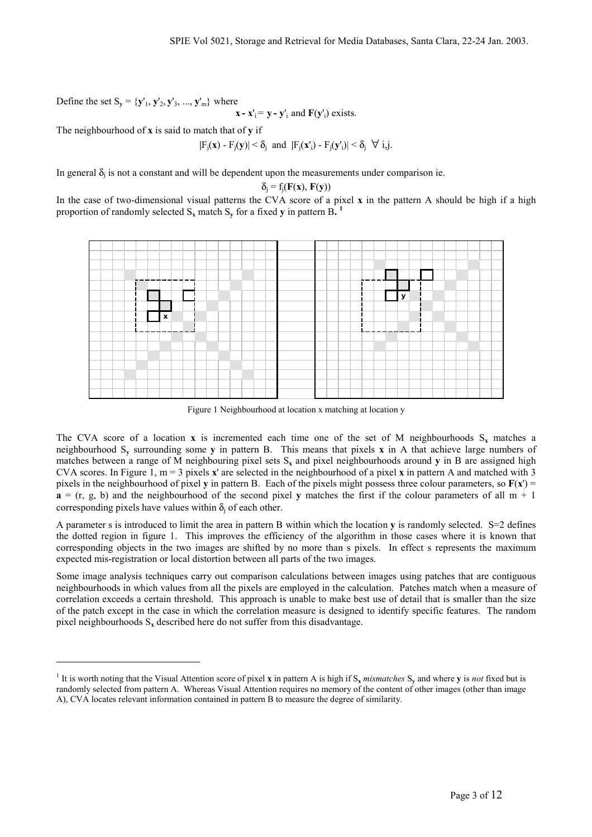Define the set  $S_y = \{y'_1, y'_2, y'_3, ..., y'_m\}$  where

 $\overline{a}$ 

$$
\mathbf{x} - \mathbf{x}'_i = \mathbf{y} - \mathbf{y}'_i
$$
 and  $\mathbf{F}(\mathbf{y}'_i)$  exists.

The neighbourhood of **x** is said to match that of **y** if

 $|F_i(\mathbf{x}) - F_i(\mathbf{y})| < \delta_i$  and  $|F_i(\mathbf{x}^i) - F_i(\mathbf{y}^i)| < \delta_i \ \forall i,j$ .

In general  $\delta_i$  is not a constant and will be dependent upon the measurements under comparison ie.

$$
\delta_j = f_j(F(x), F(y))
$$

In the case of two-dimensional visual patterns the CVA score of a pixel **x** in the pattern A should be high if a high proportion of randomly selected  $S_x$  match  $S_y$  for a fixed **y** in pattern  $B_x$ 



Figure 1 Neighbourhood at location x matching at location y

The CVA score of a location **x** is incremented each time one of the set of M neighbourhoods  $S_x$  matches a neighbourhood S**y** surrounding some **y** in pattern B. This means that pixels **x** in A that achieve large numbers of matches between a range of M neighbouring pixel sets S**x** and pixel neighbourhoods around **y** in B are assigned high CVA scores. In Figure 1, m = 3 pixels **x**' are selected in the neighbourhood of a pixel **x** in pattern A and matched with 3 pixels in the neighbourhood of pixel y in pattern B. Each of the pixels might possess three colour parameters, so  $F(x)$  =  $\mathbf{a} = (\mathbf{r}, \mathbf{g}, \mathbf{b})$  and the neighbourhood of the second pixel **y** matches the first if the colour parameters of all  $\mathbf{m} + 1$ corresponding pixels have values within  $\delta_i$  of each other.

A parameter s is introduced to limit the area in pattern B within which the location **y** is randomly selected. S=2 defines the dotted region in figure 1. This improves the efficiency of the algorithm in those cases where it is known that corresponding objects in the two images are shifted by no more than s pixels. In effect s represents the maximum expected mis-registration or local distortion between all parts of the two images.

Some image analysis techniques carry out comparison calculations between images using patches that are contiguous neighbourhoods in which values from all the pixels are employed in the calculation. Patches match when a measure of correlation exceeds a certain threshold. This approach is unable to make best use of detail that is smaller than the size of the patch except in the case in which the correlation measure is designed to identify specific features. The random pixel neighbourhoods  $S_x$  described here do not suffer from this disadvantage.

<sup>&</sup>lt;sup>1</sup> It is worth noting that the Visual Attention score of pixel **x** in pattern A is high if  $S_x$  *mismatches*  $S_y$  and where **y** is *not* fixed but is randomly selected from pattern A. Whereas Visual Attention requires no memory of the content of other images (other than image A), CVA locates relevant information contained in pattern B to measure the degree of similarity.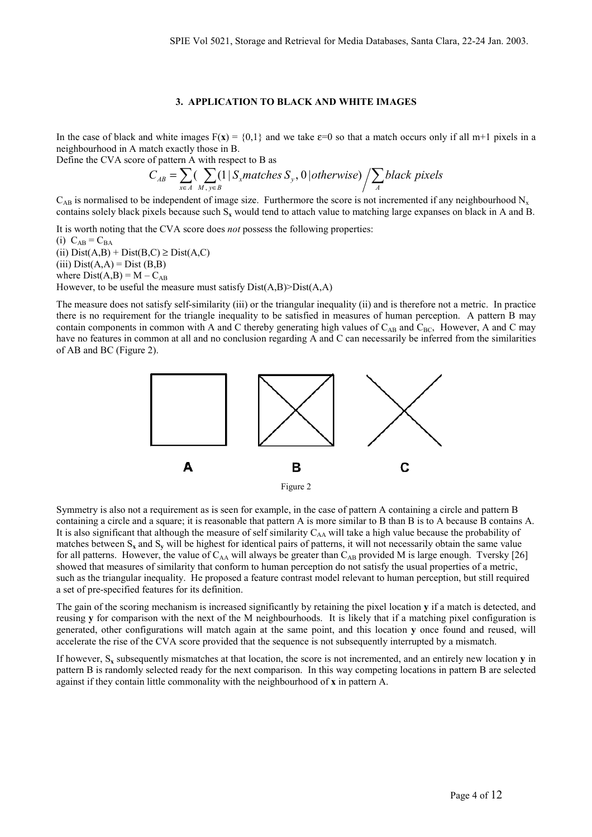#### **3. APPLICATION TO BLACK AND WHITE IMAGES**

In the case of black and white images  $F(x) = \{0,1\}$  and we take  $\varepsilon = 0$  so that a match occurs only if all m+1 pixels in a neighbourhood in A match exactly those in B.

Define the CVA score of pattern A with respect to B as

$$
C_{AB} = \sum_{x \in A} \left( \sum_{M, y \in B} (1 \mid S_x matches S_y, 0 \mid otherwise) \right) \sum_{A} black pixels
$$

 $C_{AB}$  is normalised to be independent of image size. Furthermore the score is not incremented if any neighbourhood  $N_x$ contains solely black pixels because such S**x** would tend to attach value to matching large expanses on black in A and B.

It is worth noting that the CVA score does *not* possess the following properties: (i)  $C_{AB} = C_{BA}$ (ii)  $Dist(A,B) + Dist(B,C) \ge Dist(A,C)$  $(iii) Dist(A,A) = Dist(B,B)$ where  $Dist(A,B) = M - C_{AB}$ However, to be useful the measure must satisfy  $Dist(A,B) > Dist(A,A)$ 

The measure does not satisfy self-similarity (iii) or the triangular inequality (ii) and is therefore not a metric. In practice there is no requirement for the triangle inequality to be satisfied in measures of human perception. A pattern B may contain components in common with A and C thereby generating high values of  $C_{AB}$  and  $C_{BC}$ , However, A and C may have no features in common at all and no conclusion regarding A and C can necessarily be inferred from the similarities of AB and BC (Figure 2).



Figure 2

Symmetry is also not a requirement as is seen for example, in the case of pattern A containing a circle and pattern B containing a circle and a square; it is reasonable that pattern A is more similar to B than B is to A because B contains A. It is also significant that although the measure of self similarity  $C_{AA}$  will take a high value because the probability of matches between  $S_x$  and  $S_y$  will be highest for identical pairs of patterns, it will not necessarily obtain the same value for all patterns. However, the value of  $C_{AA}$  will always be greater than  $C_{AB}$  provided M is large enough. Tversky [26] showed that measures of similarity that conform to human perception do not satisfy the usual properties of a metric, such as the triangular inequality. He proposed a feature contrast model relevant to human perception, but still required a set of pre-specified features for its definition.

The gain of the scoring mechanism is increased significantly by retaining the pixel location **y** if a match is detected, and reusing **y** for comparison with the next of the M neighbourhoods. It is likely that if a matching pixel configuration is generated, other configurations will match again at the same point, and this location **y** once found and reused, will accelerate the rise of the CVA score provided that the sequence is not subsequently interrupted by a mismatch.

If however, S**x** subsequently mismatches at that location, the score is not incremented, and an entirely new location **y** in pattern B is randomly selected ready for the next comparison. In this way competing locations in pattern B are selected against if they contain little commonality with the neighbourhood of **x** in pattern A.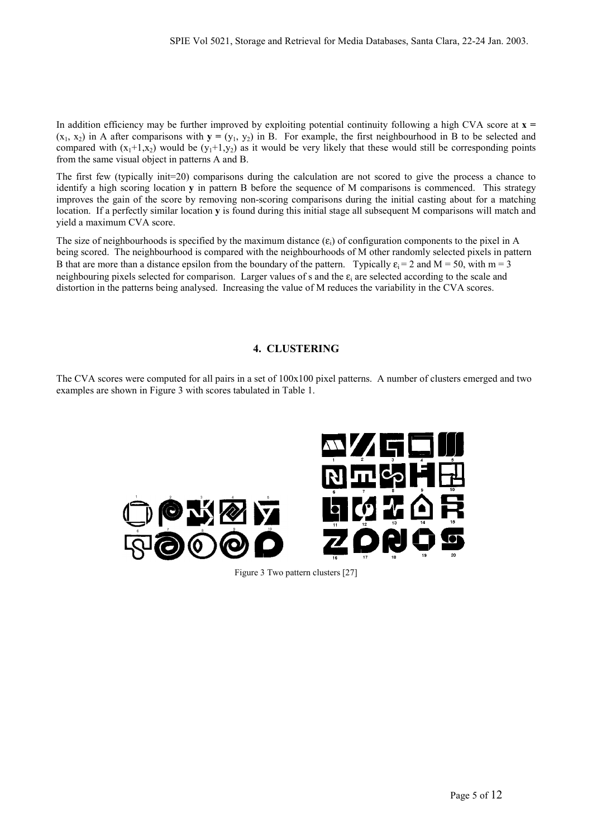In addition efficiency may be further improved by exploiting potential continuity following a high CVA score at **x =**  $(x_1, x_2)$  in A after comparisons with  $y = (y_1, y_2)$  in B. For example, the first neighbourhood in B to be selected and compared with  $(x_1+1,x_2)$  would be  $(y_1+1,y_2)$  as it would be very likely that these would still be corresponding points from the same visual object in patterns A and B.

The first few (typically init=20) comparisons during the calculation are not scored to give the process a chance to identify a high scoring location **y** in pattern B before the sequence of M comparisons is commenced. This strategy improves the gain of the score by removing non-scoring comparisons during the initial casting about for a matching location. If a perfectly similar location **y** is found during this initial stage all subsequent M comparisons will match and yield a maximum CVA score.

The size of neighbourhoods is specified by the maximum distance  $(\epsilon_i)$  of configuration components to the pixel in A being scored. The neighbourhood is compared with the neighbourhoods of M other randomly selected pixels in pattern B that are more than a distance epsilon from the boundary of the pattern. Typically  $\varepsilon_i = 2$  and  $M = 50$ , with m = 3 neighbouring pixels selected for comparison. Larger values of s and the  $\varepsilon$  are selected according to the scale and distortion in the patterns being analysed. Increasing the value of M reduces the variability in the CVA scores.

# **4. CLUSTERING**

The CVA scores were computed for all pairs in a set of 100x100 pixel patterns. A number of clusters emerged and two examples are shown in Figure 3 with scores tabulated in Table 1.



Figure 3 Two pattern clusters [27]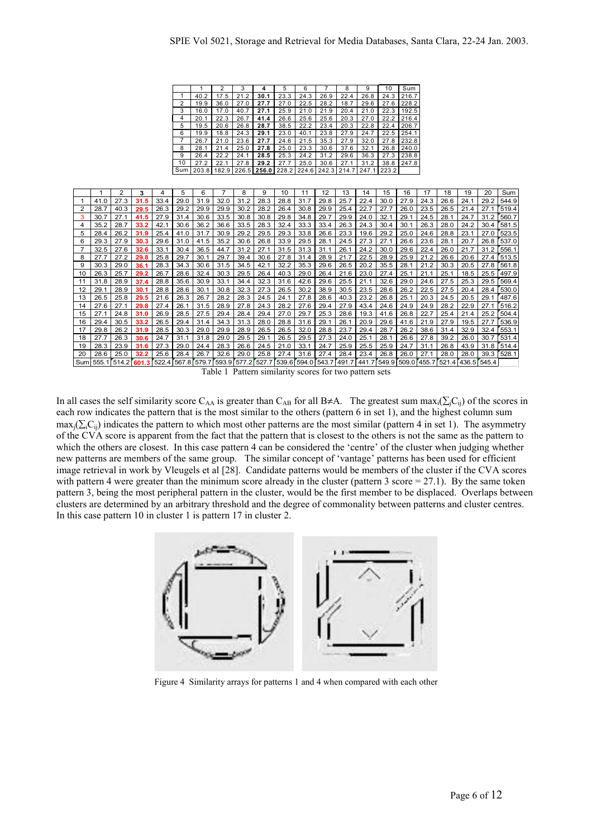<span id="page-5-0"></span>

|                 |                |                |                                                                                                                                      |      |                | $\mathbf{1}$ | $\overline{2}$ | 3                                                      | $\overline{4}$ | 5    | 6              | $\overline{7}$ | 8           | $\overline{9}$ | 10                                                              | Sum                     |             |                     |             |                 |              |
|-----------------|----------------|----------------|--------------------------------------------------------------------------------------------------------------------------------------|------|----------------|--------------|----------------|--------------------------------------------------------|----------------|------|----------------|----------------|-------------|----------------|-----------------------------------------------------------------|-------------------------|-------------|---------------------|-------------|-----------------|--------------|
|                 |                |                |                                                                                                                                      |      | $\overline{1}$ | 40.2         | 17.5           | 21.2                                                   | 30.1           | 23.3 | 24.3           | 26.9           | 22.4        | 26.8           |                                                                 | 24.3 216.7              |             |                     |             |                 |              |
|                 |                |                |                                                                                                                                      |      | $\overline{2}$ | 19.9         | 36.0           | 27.0                                                   | 27.7           | 27.0 | 22.5           | 28.2           | 18.7        | 29.6           |                                                                 | 27.6 228.2              |             |                     |             |                 |              |
|                 |                |                |                                                                                                                                      |      | 3              | 16.0         | 17.0           | 40.7                                                   | 27.1           | 25.9 | 21.0           | 21.9           | 20.4        | 21.0           |                                                                 | 22.3 192.5              |             |                     |             |                 |              |
|                 |                |                |                                                                                                                                      |      | 4              | 20.1         | 22.3           | 26.7                                                   | 41.4           | 26.6 | 25.6           | 25.6           | 20.3        | 27.0           |                                                                 | $\overline{22.2}$ 216.4 |             |                     |             |                 |              |
|                 |                |                |                                                                                                                                      |      | 5              | 19.5         | 20.6           | 26.8                                                   | 28.7           | 38.5 | 22.2           | 23.4           | 20.3        | 22.8           |                                                                 | 22.4 206.7              |             |                     |             |                 |              |
|                 |                |                |                                                                                                                                      |      | 6              | 19.9         | 18.8           | 24.3                                                   | 29.1           | 23.0 | 40.1           | 23.8           | 27.9        | 24.7           |                                                                 | 22.5 254.1              |             |                     |             |                 |              |
|                 |                |                |                                                                                                                                      |      | $\overline{7}$ | 26.7         | 21.0           | 23.6                                                   | 27.7           | 24.6 | 21.5           | 35.3           | 27.9        | 32.0           |                                                                 | 27.8 232.8              |             |                     |             |                 |              |
|                 |                |                |                                                                                                                                      |      | 8              | 28.1         | 21.4           | 25.0                                                   | 27.8           | 25.0 | 23.3           | 30.6           | 37.6        | 32.1           |                                                                 | 26.8 240.0              |             |                     |             |                 |              |
|                 |                |                |                                                                                                                                      |      | 9<br>10        | 26.4         | 22.2           | 24.1                                                   | 28.5           | 25.3 | 24.2           | 31.2           | 29.6        | 36.3           |                                                                 | 27.3 238.8              |             |                     |             |                 |              |
|                 |                |                |                                                                                                                                      |      |                | 27.2         | 22.1           | 27.8 29.2                                              |                | 27.7 | 25.0           | 30.6           | 27.1        | 31.2           | Sum 203.8 182.9 226.5 256.0 228.2 224.6 242.3 214.7 247.1 223.2 | 38.8 247.8              |             |                     |             |                 |              |
|                 |                |                |                                                                                                                                      |      |                |              |                |                                                        |                |      |                |                |             |                |                                                                 |                         |             |                     |             |                 |              |
|                 |                |                |                                                                                                                                      |      |                |              |                |                                                        |                |      |                |                |             |                |                                                                 |                         |             |                     |             |                 |              |
|                 | 1              | $\overline{2}$ | 3                                                                                                                                    | 4    | 5              | 6            | $\overline{7}$ | 8                                                      | 9              | 10   | 11             | 12             | 13          | 14             | 15                                                              | 16                      | 17          | 18                  | 19          | 20              | Sum          |
| $\mathbf{1}$    | 41.0           | 27.3           | 31.5                                                                                                                                 | 33.4 | 29.0           | 31.9         | 32.0           | 31.2                                                   | 28.3           | 28.8 | 31.7           | 29.8           | 25.7        | 22.4           | 30.0                                                            | 27.9                    | 24.3        | 26.6                | 24.1        | 29.2            | 544.9        |
| $\overline{2}$  | 28.7           | 40.3           | 29.5                                                                                                                                 | 26.3 | 29.2           | 29.9         | 29.9           | 30.2                                                   | 28.2           | 26.4 | 30.8           | 29.9           | 25.4        | 22.7           | 27.7                                                            | 26.0                    | 23.5        | 26.5                | 21.4        |                 | 27.1 519.4   |
| 3               | 30.7           | 27.1           | 41.5                                                                                                                                 | 27.9 | 31.4           | 30.6         |                | 33.5 30.8 30.8                                         |                |      | 29.8 34.8      | 29.7           | 29.9        |                | 24.0 32.1                                                       | 29.1                    | 24.5        | 28.1                | 24.7        |                 | 31.2 560.7   |
| $\overline{4}$  | 35.2           | 28.7           | 33.2                                                                                                                                 | 42.1 | 30.6           | 36.2         | 36.6           | 33.5                                                   | 28.3           | 32.4 | 33.3           | 33.4           | 26.3        | 24.3           | 30.4                                                            | 30.1                    | 26.3        | 28.0                | 24.2        |                 | 30.4 581.5   |
| 5               | 28.4           | 26.2           | 31.9                                                                                                                                 | 25.4 | 41.0           | 31.7         | 30.9           | 29.2                                                   | 29.5           | 29.3 | 33.8           | 26.6           | 23.3        | 19.6           | 29.2                                                            | 25.0                    | 24.6        | 28.8                | 23.1        |                 | 27.0 523.5   |
| 6               | 29.3           | 27.9           | 30.3                                                                                                                                 | 29.6 | 31.0           | 41.5         | 35.2           | 30.6                                                   | 26.8           | 33.9 | 29.5           | 28.1           | 24.5        | 27.3           | 27.1                                                            | 26.6                    | 23.6        | 28.1                | 20.7        |                 | 26.8 537.0   |
| $\overline{7}$  | 32.5           | 27.6           | 32.6                                                                                                                                 | 33.1 | 30.4           | 36.5         | 44.7           | 31.2                                                   | 27.1           | 31.5 | $31.3$ 31.1    |                | 26.1        | 24.2           | 30.0                                                            |                         | 29.6 22.4   | 26.0                | 21.7        |                 | $31.2$ 556.1 |
| 8               | 27.7           | 27.2           | 29.8                                                                                                                                 | 25.8 | 29.7           | 30.1         | 29.7           | 39.4                                                   | 30.6           | 27.8 | 31.4           |                | 28.9 21.7   | 22.5           | 28.9                                                            |                         | 25.9 21.2   | 26.6                |             | 20.6 27.4 513.5 |              |
| 9               | 30.3           | 29.0           | 36.1                                                                                                                                 | 28.3 | 34.3           | 30.6         | 31.5           | 34.5                                                   | 42.1           | 32.2 | 35.3           |                | 29.6 26.5   | 20.2           | 35.5                                                            | 28.1                    | 21.2        | 30.3                |             | 20.5 27.8 561.8 |              |
| 10 <sup>°</sup> | 26.3           | 25.7           | 29.2                                                                                                                                 | 26.7 | 28.6           | 32.4         | 30.3           | 29.5                                                   | 26.4           | 40.3 | 29.0           |                | 26.4 21.6   | 23.0           | 27.4                                                            | 25.1                    | 21.1        | 25.1                | 18.5        |                 | 25.5 497.9   |
| 11              | 31.8           | 28.9           | 37.4                                                                                                                                 | 28.8 | 35.6           | 30.9         | 33.1           | 34.4                                                   | 32.3           | 31.6 | 42.6           |                | 29.6 25.5   | 21.1           | 32.6                                                            | 29.0                    | 24.6        | 27.5                | 25.3        |                 | 29.5 569.4   |
| 12              | 29.1           | 28.9           | 30.1                                                                                                                                 | 28.8 | 28.6           | 30.1         | 30.8           | 32.3                                                   | 27.3           | 26.5 | 30.2           | 38.9           | 30.5        | 23.5           | 28.6                                                            | 26.2                    | 22.5        | 27.5                | 20.4        |                 | 28.4 530.0   |
| 13              | 26.5           | 25.8           | 29.5                                                                                                                                 | 21.6 | 26.3           | 26.7         | 28.2           | 28.3                                                   | 24.5           | 24.1 | 27.8           | 28.6           | 40.3        | 23.2           | 26.8                                                            | 25.1                    | 20.3        | 24.5                | 20.5        | 29.1            | 487.6        |
| 14              | 27.6           | 27.1           | 29.8                                                                                                                                 | 27.4 | 26.1           | 31.5         | 28.9           | 27.8                                                   | 24.3           | 28.2 | 27.6           | 29.4 27.9      |             | 43.4           | 24.6                                                            | 24.9                    | 24.9        | 28.2                |             | 22.9 27.1 516.2 |              |
| 15              | 27.1           | 24.8           | 31.0                                                                                                                                 | 26.9 | 28.5           | 27.5         | 29.4           | 28.4                                                   | 29.4           | 27.0 | 29.7           |                | $25.3$ 28.6 | 19.3           | 41.6                                                            | 26.8                    | 22.7        | 25.4                | 21.4        |                 | 25.2 504.4   |
| 16              | 29.4           | 30.5           | 33.2                                                                                                                                 | 26.5 | 29.4           | 31.4         | 34.3           | $31.3$ 28.0                                            |                |      | 28.8 31.6      | 29.1           | 26.1        | 20.9           | 29.6                                                            |                         | $41.6$ 21.9 |                     | $27.9$ 19.5 |                 | 27.7 536.9   |
| 17 <sup>2</sup> | 29.8           | 26.2           | 31.9                                                                                                                                 | 28.5 | 30.3           | 29.0         | 29.9           |                                                        | $28.9$ 26.5    | 26.5 | 32.0           | 28.8           | 23.7        | 29.4           | 28.7                                                            | 26.2                    |             | $38.6$ 31.4         | 32.9        |                 | 32.4 553.1   |
| 18              | 27.7           | 26.3           | 30.6                                                                                                                                 | 24.7 | 31.1           | 31.8         | 29.0           |                                                        | $29.5$ 29.1    | 26.5 |                | 29.5 27.3 24.0 |             | 25.1           | 28.1                                                            | 26.6                    |             | 27.8 39.2           | 26.0        | 30.7 531.4      |              |
|                 | $19$   28.3    | 23.9           | 31.6                                                                                                                                 | 27.3 | 29.0           | 24.4         | 28.3           |                                                        | $26.6$ 24.5    | 21.0 | 33.1           | 24.7           | 25.9        | 25.5           | 25.9                                                            | 24.7                    | 31.1        | 26.8                | 43.9        |                 | 31.8 514.4   |
|                 | $20 \mid 28.6$ | 25.0           | 32.2                                                                                                                                 | 25.6 | 28.4           | 26.7         |                | 32.6 29.0 25.8                                         |                |      | 27.4 31.6 27.4 |                | 28.4        |                | 23.4 26.8                                                       |                         |             | 26.0 27.1 28.0 28.0 |             |                 | 39.3 528.1   |
|                 |                |                | Sum 555.1 514.2  <b>601.3 </b> 522.4 567.8 579.7 593.9 577.2 527.7 539.6 594.0 543.7 491.7 441.7 549.9 509.0 455.7 521.4 436.5 545.4 |      |                |              |                |                                                        |                |      |                |                |             |                |                                                                 |                         |             |                     |             |                 |              |
|                 |                |                |                                                                                                                                      |      |                |              |                | Table 1 Pattern similarity scores for two pattern sets |                |      |                |                |             |                |                                                                 |                         |             |                     |             |                 |              |
|                 |                |                |                                                                                                                                      |      |                |              |                |                                                        |                |      |                |                |             |                |                                                                 |                         |             |                     |             |                 |              |

In all cases the self similarity score C<sub>AA</sub> is greater than C<sub>AB</sub> for all B≠A. The greatest sum max<sub>i</sub>( $\Sigma_i$ C<sub>ii</sub>) of the scores in each row indicates the pattern that is the most similar to the others (pattern 6 in set 1), and the highest column sum  $max_i(\sum_i C_{ii})$  indicates the pattern to which most other patterns are the most similar (pattern 4 in set 1). The asymmetry of the CVA score is apparent from the fact that the pattern that is closest to the others is not the same as the pattern to which the others are closest. In this case pattern 4 can be considered the 'centre' of the cluster when judging whether new patterns are members of the same group. The similar concept of 'vantage' patterns has been used for efficient image retrieval in work by Vleugels et al [28]. Candidate patterns would be members of the cluster if the CVA scores with pattern 4 were greater than the minimum score already in the cluster (pattern 3 score  $= 27.1$ ). By the same token pattern 3, being the most peripheral pattern in the cluster, would be the first member to be displaced. Overlaps between clusters are determined by an arbitrary threshold and the degree of commonality between patterns and cluster centres. In this case pattern 10 in cluster 1 is pattern 17 in cluster 2.



Figure 4 Similarity arrays for patterns 1 and 4 when compared with each other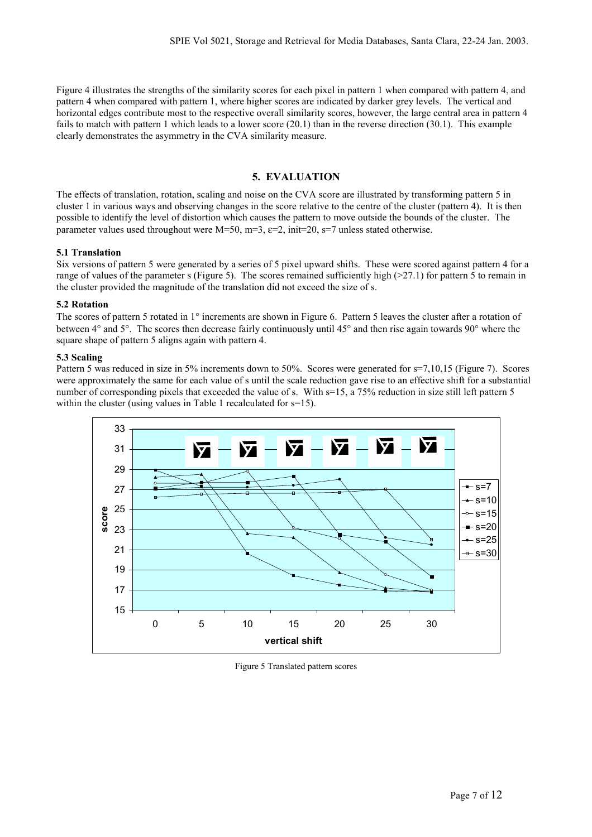[Figure 4](#page-5-0) illustrates the strengths of the similarity scores for each pixel in pattern 1 when compared with pattern 4, and pattern 4 when compared with pattern 1, where higher scores are indicated by darker grey levels. The vertical and horizontal edges contribute most to the respective overall similarity scores, however, the large central area in pattern 4 fails to match with pattern 1 which leads to a lower score (20.1) than in the reverse direction (30.1). This example clearly demonstrates the asymmetry in the CVA similarity measure.

# **5. EVALUATION**

The effects of translation, rotation, scaling and noise on the CVA score are illustrated by transforming pattern 5 in cluster 1 in various ways and observing changes in the score relative to the centre of the cluster (pattern 4). It is then possible to identify the level of distortion which causes the pattern to move outside the bounds of the cluster. The parameter values used throughout were  $M=50$ ,  $m=3$ ,  $\varepsilon=2$ , init=20,  $s=7$  unless stated otherwise.

### **5.1 Translation**

Six versions of pattern 5 were generated by a series of 5 pixel upward shifts. These were scored against pattern 4 for a range of values of the parameter s (Figure 5). The scores remained sufficiently high  $(>27.1)$  for pattern 5 to remain in the cluster provided the magnitude of the translation did not exceed the size of s.

### **5.2 Rotation**

The scores of pattern 5 rotated in 1° increments are shown in [Figure 6.](#page-7-0) Pattern 5 leaves the cluster after a rotation of between 4° and 5°. The scores then decrease fairly continuously until 45° and then rise again towards 90° where the square shape of pattern 5 aligns again with pattern 4.

#### **5.3 Scaling**

Pattern 5 was reduced in size in 5% increments down to 50%. Scores were generated for s=7,10,15 ([Figure 7\)](#page-7-0). Scores were approximately the same for each value of s until the scale reduction gave rise to an effective shift for a substantial number of corresponding pixels that exceeded the value of s. With s=15, a 75% reduction in size still left pattern 5 within the cluster (using values in Table 1 recalculated for  $s=15$ ).



Figure 5 Translated pattern scores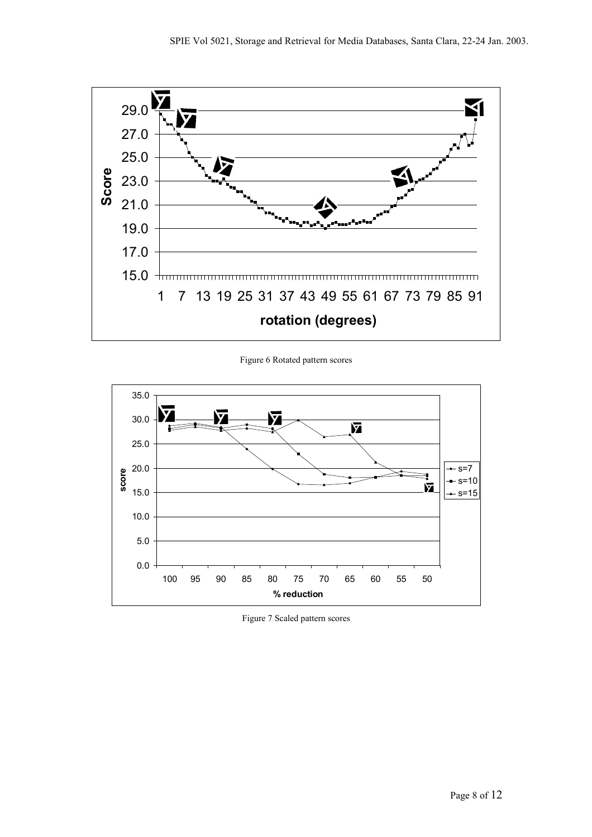<span id="page-7-0"></span>

Figure 6 Rotated pattern scores



Figure 7 Scaled pattern scores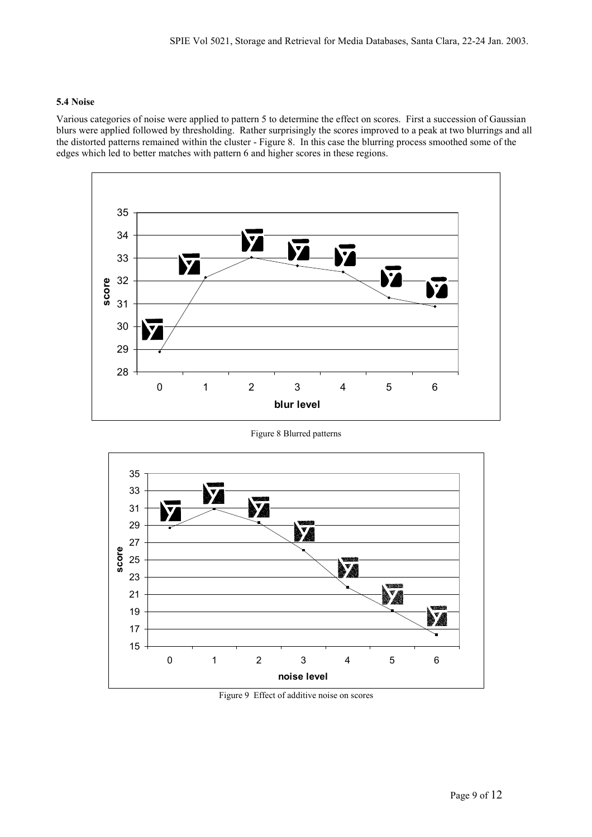#### **5.4 Noise**

Various categories of noise were applied to pattern 5 to determine the effect on scores. First a succession of Gaussian blurs were applied followed by thresholding. Rather surprisingly the scores improved to a peak at two blurrings and all the distorted patterns remained within the cluster - Figure 8. In this case the blurring process smoothed some of the edges which led to better matches with pattern 6 and higher scores in these regions.



Figure 8 Blurred patterns



Figure 9 Effect of additive noise on scores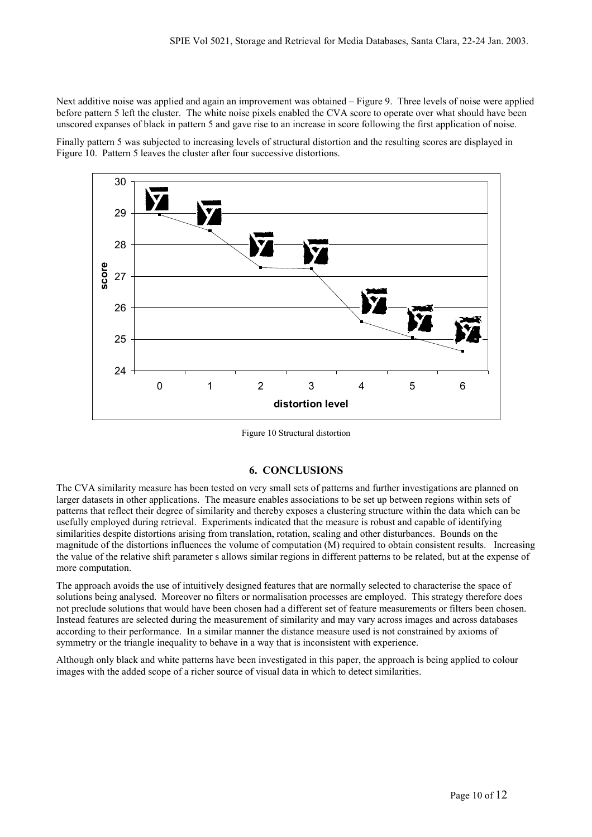Next additive noise was applied and again an improvement was obtained – Figure 9. Three levels of noise were applied before pattern 5 left the cluster. The white noise pixels enabled the CVA score to operate over what should have been unscored expanses of black in pattern 5 and gave rise to an increase in score following the first application of noise.

Finally pattern 5 was subjected to increasing levels of structural distortion and the resulting scores are displayed in Figure 10. Pattern 5 leaves the cluster after four successive distortions.



Figure 10 Structural distortion

# **6. CONCLUSIONS**

The CVA similarity measure has been tested on very small sets of patterns and further investigations are planned on larger datasets in other applications. The measure enables associations to be set up between regions within sets of patterns that reflect their degree of similarity and thereby exposes a clustering structure within the data which can be usefully employed during retrieval. Experiments indicated that the measure is robust and capable of identifying similarities despite distortions arising from translation, rotation, scaling and other disturbances. Bounds on the magnitude of the distortions influences the volume of computation (M) required to obtain consistent results. Increasing the value of the relative shift parameter s allows similar regions in different patterns to be related, but at the expense of more computation.

The approach avoids the use of intuitively designed features that are normally selected to characterise the space of solutions being analysed. Moreover no filters or normalisation processes are employed. This strategy therefore does not preclude solutions that would have been chosen had a different set of feature measurements or filters been chosen. Instead features are selected during the measurement of similarity and may vary across images and across databases according to their performance. In a similar manner the distance measure used is not constrained by axioms of symmetry or the triangle inequality to behave in a way that is inconsistent with experience.

Although only black and white patterns have been investigated in this paper, the approach is being applied to colour images with the added scope of a richer source of visual data in which to detect similarities.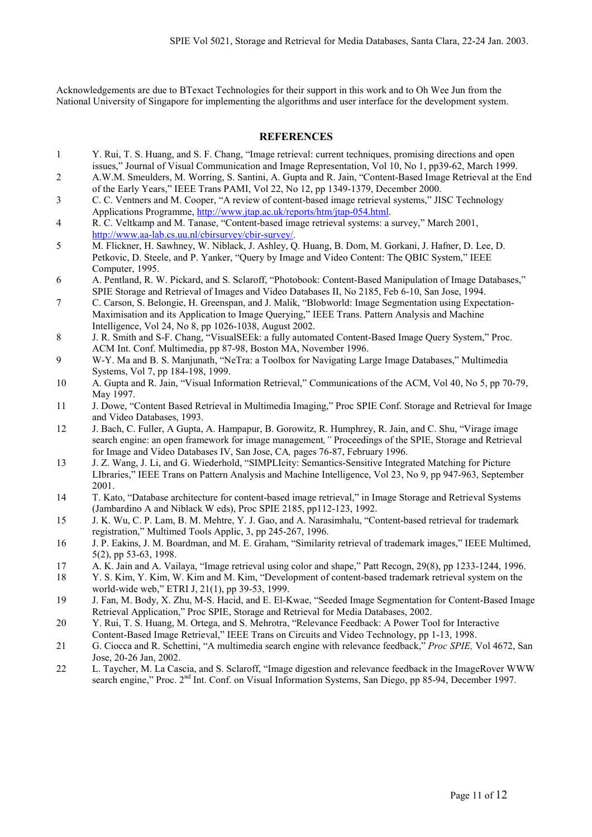Acknowledgements are due to BTexact Technologies for their support in this work and to Oh Wee Jun from the National University of Singapore for implementing the algorithms and user interface for the development system.

# **REFERENCES**

- 1 Y. Rui, T. S. Huang, and S. F. Chang, "Image retrieval: current techniques, promising directions and open issues," Journal of Visual Communication and Image Representation, Vol 10, No 1, pp39-62, March 1999.
- 2 A.W.M. Smeulders, M. Worring, S. Santini, A. Gupta and R. Jain, "Content-Based Image Retrieval at the End of the Early Years," IEEE Trans PAMI, Vol 22, No 12, pp 1349-1379, December 2000.
- 3 C. C. Ventners and M. Cooper, "A review of content-based image retrieval systems," JISC Technology Applications Programme, [http://www.jtap.ac.uk/reports/htm/jtap-054.html.](http://www.jtap.ac.uk/reports/htm/jtap-054.html)
- 4 R. C. Veltkamp and M. Tanase, "Content-based image retrieval systems: a survey," March 2001, [http://www.aa-lab.cs.uu.nl/cbirsurvey/cbir-survey/.](http://www.aa-lab.cs.uu.nl/cbirsurvey/cbir-survey/)
- 5 M. Flickner, H. Sawhney, W. Niblack, J. Ashley, Q. Huang, B. Dom, M. Gorkani, J. Hafner, D. Lee, D. Petkovic, D. Steele, and P. Yanker, "Query by Image and Video Content: The QBIC System," IEEE Computer, 1995.
- 6 A. Pentland, R. W. Pickard, and S. Sclaroff, "Photobook: Content-Based Manipulation of Image Databases," SPIE Storage and Retrieval of Images and Video Databases II, No 2185, Feb 6-10, San Jose, 1994.
- 7 C. Carson, S. Belongie, H. Greenspan, and J. Malik, "Blobworld: Image Segmentation using Expectation-Maximisation and its Application to Image Querying," IEEE Trans. Pattern Analysis and Machine Intelligence, Vol 24, No 8, pp 1026-1038, August 2002.
- 8 J. R. Smith and S-F. Chang, "VisualSEEk: a fully automated Content-Based Image Query System," Proc. ACM Int. Conf. Multimedia, pp 87-98, Boston MA, November 1996.
- 9 W-Y. Ma and B. S. Manjunath, "NeTra: a Toolbox for Navigating Large Image Databases," Multimedia Systems, Vol 7, pp 184-198, 1999.
- 10 A. Gupta and R. Jain, "Visual Information Retrieval," Communications of the ACM, Vol 40, No 5, pp 70-79, May 1997.
- 11 J. Dowe, "Content Based Retrieval in Multimedia Imaging," Proc SPIE Conf. Storage and Retrieval for Image and Video Databases, 1993.
- 12 J. Bach, C. Fuller, A Gupta, A. Hampapur, B. Gorowitz, R. Humphrey, R. Jain, and C. Shu, "Virage image search engine: an open framework for image management*,"* Proceedings of the SPIE, Storage and Retrieval for Image and Video Databases IV, San Jose, CA*,* pages 76-87, February 1996.
- 13 J. Z. Wang, J. Li, and G. Wiederhold, "SIMPLIcity: Semantics-Sensitive Integrated Matching for Picture LIbraries," IEEE Trans on Pattern Analysis and Machine Intelligence, Vol 23, No 9, pp 947-963, September 2001.
- 14 T. Kato, "Database architecture for content-based image retrieval," in Image Storage and Retrieval Systems (Jambardino A and Niblack W eds), Proc SPIE 2185, pp112-123, 1992.
- 15 J. K. Wu, C. P. Lam, B. M. Mehtre, Y. J. Gao, and A. Narasimhalu, "Content-based retrieval for trademark registration," Multimed Tools Applic, 3, pp 245-267, 1996.
- 16 J. P. Eakins, J. M. Boardman, and M. E. Graham, "Similarity retrieval of trademark images," IEEE Multimed, 5(2), pp 53-63, 1998.
- 17 A. K. Jain and A. Vailaya, "Image retrieval using color and shape," Patt Recogn, 29(8), pp 1233-1244, 1996.
- 18 Y. S. Kim, Y. Kim, W. Kim and M. Kim, "Development of content-based trademark retrieval system on the world-wide web," ETRI J, 21(1), pp 39-53, 1999.
- 19 J. Fan, M. Body, X. Zhu, M-S. Hacid, and E. El-Kwae, "Seeded Image Segmentation for Content-Based Image Retrieval Application," Proc SPIE, Storage and Retrieval for Media Databases, 2002.
- 20 Y. Rui, T. S. Huang, M. Ortega, and S. Mehrotra, "Relevance Feedback: A Power Tool for Interactive Content-Based Image Retrieval," IEEE Trans on Circuits and Video Technology, pp 1-13, 1998.
- 21 G. Ciocca and R. Schettini, "A multimedia search engine with relevance feedback," *Proc SPIE,* Vol 4672, San Jose, 20-26 Jan, 2002.
- 22 L. Taycher, M. La Cascia, and S. Sclaroff, "Image digestion and relevance feedback in the ImageRover WWW search engine," Proc. 2<sup>nd</sup> Int. Conf. on Visual Information Systems, San Diego, pp 85-94, December 1997.